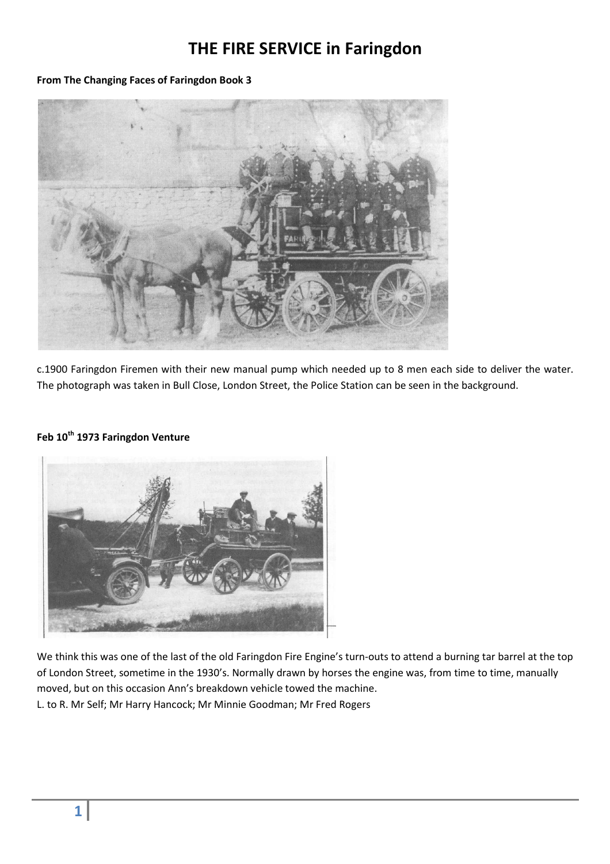## **THE FIRE SERVICE in Faringdon**

## **From The Changing Faces of Faringdon Book 3**



c.1900 Faringdon Firemen with their new manual pump which needed up to 8 men each side to deliver the water. The photograph was taken in Bull Close, London Street, the Police Station can be seen in the background.

## **Feb 10th 1973 Faringdon Venture**



We think this was one of the last of the old Faringdon Fire Engine's turn-outs to attend a burning tar barrel at the top of London Street, sometime in the 1930's. Normally drawn by horses the engine was, from time to time, manually moved, but on this occasion Ann's breakdown vehicle towed the machine. L. to R. Mr Self; Mr Harry Hancock; Mr Minnie Goodman; Mr Fred Rogers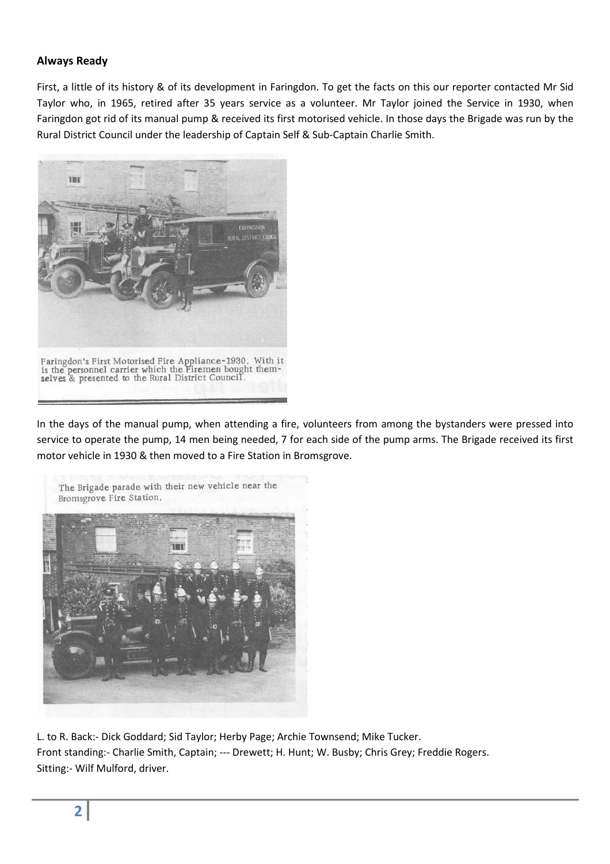## **Always Ready**

First, a little of its history & of its development in Faringdon. To get the facts on this our reporter contacted Mr Sid Taylor who, in 1965, retired after 35 years service as a volunteer. Mr Taylor joined the Service in 1930, when Faringdon got rid of its manual pump & received its first motorised vehicle. In those days the Brigade was run by the Rural District Council under the leadership of Captain Self & Sub-Captain Charlie Smith.



In the days of the manual pump, when attending a fire, volunteers from among the bystanders were pressed into service to operate the pump, 14 men being needed, 7 for each side of the pump arms. The Brigade received its first motor vehicle in 1930 & then moved to a Fire Station in Bromsgrove.



L. to R. Back:- Dick Goddard; Sid Taylor; Herby Page; Archie Townsend; Mike Tucker. Front standing:- Charlie Smith, Captain; --- Drewett; H. Hunt; W. Busby; Chris Grey; Freddie Rogers. Sitting:- Wilf Mulford, driver.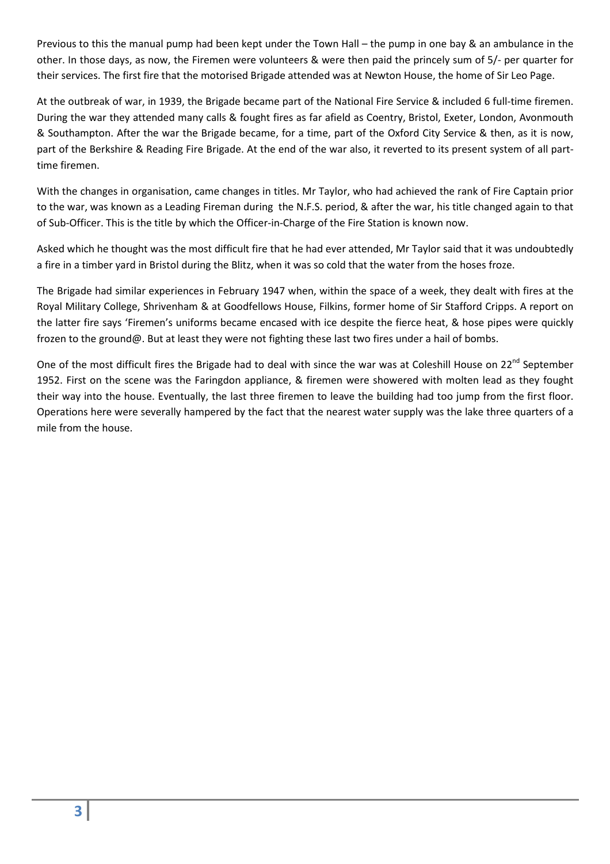Previous to this the manual pump had been kept under the Town Hall – the pump in one bay & an ambulance in the other. In those days, as now, the Firemen were volunteers & were then paid the princely sum of 5/- per quarter for their services. The first fire that the motorised Brigade attended was at Newton House, the home of Sir Leo Page.

At the outbreak of war, in 1939, the Brigade became part of the National Fire Service & included 6 full-time firemen. During the war they attended many calls & fought fires as far afield as Coentry, Bristol, Exeter, London, Avonmouth & Southampton. After the war the Brigade became, for a time, part of the Oxford City Service & then, as it is now, part of the Berkshire & Reading Fire Brigade. At the end of the war also, it reverted to its present system of all parttime firemen.

With the changes in organisation, came changes in titles. Mr Taylor, who had achieved the rank of Fire Captain prior to the war, was known as a Leading Fireman during the N.F.S. period, & after the war, his title changed again to that of Sub-Officer. This is the title by which the Officer-in-Charge of the Fire Station is known now.

Asked which he thought was the most difficult fire that he had ever attended, Mr Taylor said that it was undoubtedly a fire in a timber yard in Bristol during the Blitz, when it was so cold that the water from the hoses froze.

The Brigade had similar experiences in February 1947 when, within the space of a week, they dealt with fires at the Royal Military College, Shrivenham & at Goodfellows House, Filkins, former home of Sir Stafford Cripps. A report on the latter fire says 'Firemen's uniforms became encased with ice despite the fierce heat, & hose pipes were quickly frozen to the ground@. But at least they were not fighting these last two fires under a hail of bombs.

One of the most difficult fires the Brigade had to deal with since the war was at Coleshill House on 22<sup>nd</sup> September 1952. First on the scene was the Faringdon appliance, & firemen were showered with molten lead as they fought their way into the house. Eventually, the last three firemen to leave the building had too jump from the first floor. Operations here were severally hampered by the fact that the nearest water supply was the lake three quarters of a mile from the house.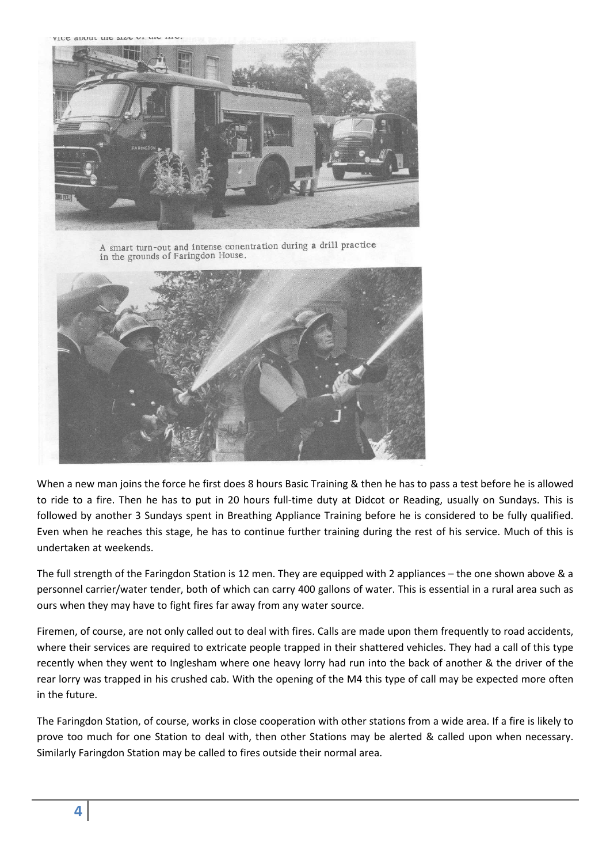VICE AUDUL LIIC SLAC UP



A smart turn-out and intense conentration during a drill practice in the grounds of Faringdon House.



When a new man joins the force he first does 8 hours Basic Training & then he has to pass a test before he is allowed to ride to a fire. Then he has to put in 20 hours full-time duty at Didcot or Reading, usually on Sundays. This is followed by another 3 Sundays spent in Breathing Appliance Training before he is considered to be fully qualified. Even when he reaches this stage, he has to continue further training during the rest of his service. Much of this is undertaken at weekends.

The full strength of the Faringdon Station is 12 men. They are equipped with 2 appliances – the one shown above & a personnel carrier/water tender, both of which can carry 400 gallons of water. This is essential in a rural area such as ours when they may have to fight fires far away from any water source.

Firemen, of course, are not only called out to deal with fires. Calls are made upon them frequently to road accidents, where their services are required to extricate people trapped in their shattered vehicles. They had a call of this type recently when they went to Inglesham where one heavy lorry had run into the back of another & the driver of the rear lorry was trapped in his crushed cab. With the opening of the M4 this type of call may be expected more often in the future.

The Faringdon Station, of course, works in close cooperation with other stations from a wide area. If a fire is likely to prove too much for one Station to deal with, then other Stations may be alerted & called upon when necessary. Similarly Faringdon Station may be called to fires outside their normal area.